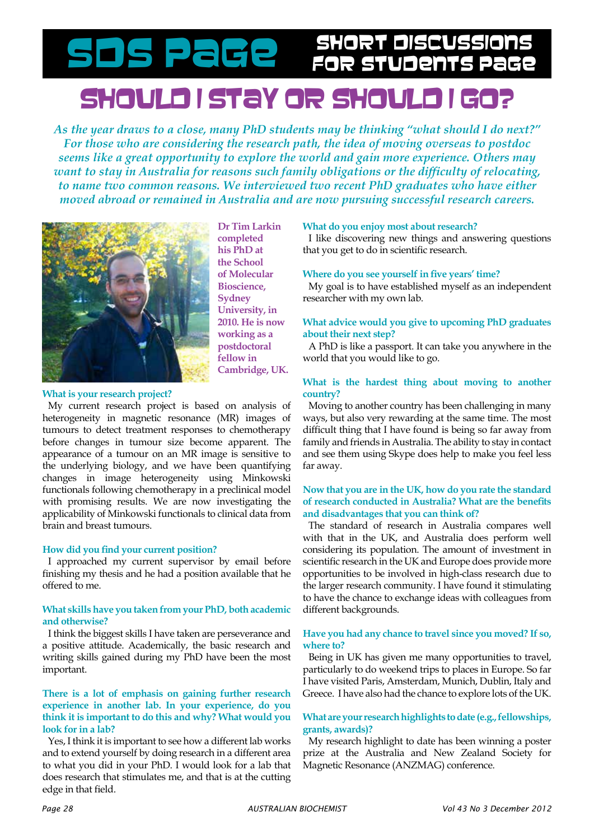# should i stay or should i go? SDS Page SHORT DISCUSSIONS

*As the year draws to a close, many PhD students may be thinking "what should I do next?" For those who are considering the research path, the idea of moving overseas to postdoc seems like a great opportunity to explore the world and gain more experience. Others may want to stay in Australia for reasons such family obligations or the difficulty of relocating, to name two common reasons. We interviewed two recent PhD graduates who have either moved abroad or remained in Australia and are now pursuing successful research careers.*



**Dr Tim Larkin completed his PhD at the School of Molecular Bioscience, Sydney University, in 2010. He is now working as a postdoctoral fellow in Cambridge, UK.**

#### **What is your research project?**

My current research project is based on analysis of heterogeneity in magnetic resonance (MR) images of tumours to detect treatment responses to chemotherapy before changes in tumour size become apparent. The appearance of a tumour on an MR image is sensitive to the underlying biology, and we have been quantifying changes in image heterogeneity using Minkowski functionals following chemotherapy in a preclinical model with promising results. We are now investigating the applicability of Minkowski functionals to clinical data from brain and breast tumours.

### **How did you find your current position?**

I approached my current supervisor by email before finishing my thesis and he had a position available that he offered to me.

#### **What skills have you taken from your PhD, both academic and otherwise?**

I think the biggest skills I have taken are perseverance and a positive attitude. Academically, the basic research and writing skills gained during my PhD have been the most important.

# **There is a lot of emphasis on gaining further research experience in another lab. In your experience, do you think it is important to do this and why? What would you look for in a lab?**

Yes, I think it is important to see how a different lab works and to extend yourself by doing research in a different area to what you did in your PhD. I would look for a lab that does research that stimulates me, and that is at the cutting edge in that field.

#### **What do you enjoy most about research?**

I like discovering new things and answering questions that you get to do in scientific research.

#### **Where do you see yourself in five years' time?**

My goal is to have established myself as an independent researcher with my own lab.

## **What advice would you give to upcoming PhD graduates about their next step?**

A PhD is like a passport. It can take you anywhere in the world that you would like to go.

#### **What is the hardest thing about moving to another country?**

Moving to another country has been challenging in many ways, but also very rewarding at the same time. The most difficult thing that I have found is being so far away from family and friends in Australia. The ability to stay in contact and see them using Skype does help to make you feel less far away.

# **Now that you are in the UK, how do you rate the standard of research conducted in Australia? What are the benefits and disadvantages that you can think of?**

The standard of research in Australia compares well with that in the UK, and Australia does perform well considering its population. The amount of investment in scientific research in the UK and Europe does provide more opportunities to be involved in high-class research due to the larger research community. I have found it stimulating to have the chance to exchange ideas with colleagues from different backgrounds.

#### **Have you had any chance to travel since you moved? If so, where to?**

Being in UK has given me many opportunities to travel, particularly to do weekend trips to places in Europe. So far I have visited Paris, Amsterdam, Munich, Dublin, Italy and Greece. I have also had the chance to explore lots of the UK.

## **What are your research highlights to date (e.g., fellowships, grants, awards)?**

My research highlight to date has been winning a poster prize at the Australia and New Zealand Society for Magnetic Resonance (ANZMAG) conference.